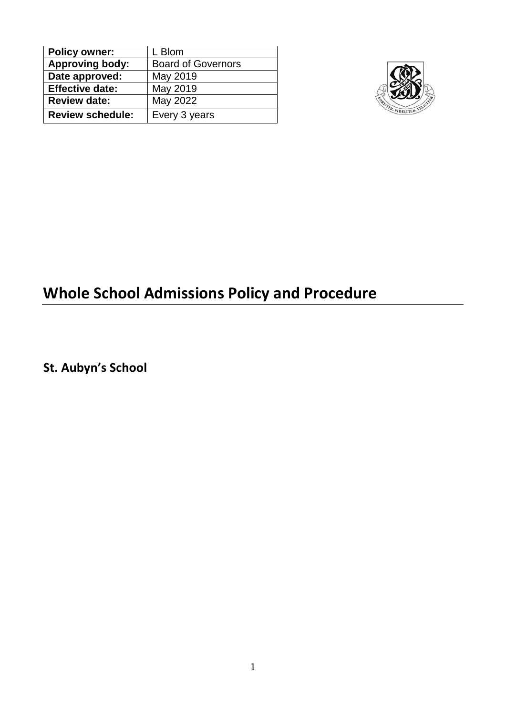| <b>Policy owner:</b>    | L Blom                    |
|-------------------------|---------------------------|
| <b>Approving body:</b>  | <b>Board of Governors</b> |
| Date approved:          | May 2019                  |
| <b>Effective date:</b>  | May 2019                  |
| <b>Review date:</b>     | May 2022                  |
| <b>Review schedule:</b> | Every 3 years             |



# **Whole School Admissions Policy and Procedure**

**St. Aubyn's School**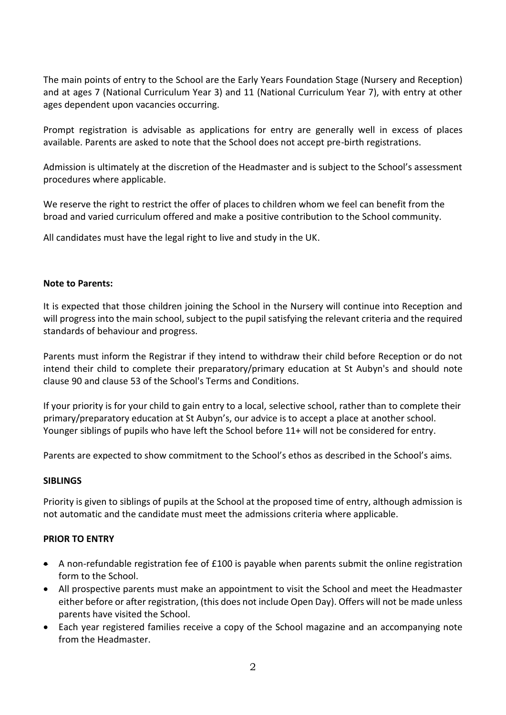The main points of entry to the School are the Early Years Foundation Stage (Nursery and Reception) and at ages 7 (National Curriculum Year 3) and 11 (National Curriculum Year 7), with entry at other ages dependent upon vacancies occurring.

Prompt registration is advisable as applications for entry are generally well in excess of places available. Parents are asked to note that the School does not accept pre-birth registrations.

Admission is ultimately at the discretion of the Headmaster and is subject to the School's assessment procedures where applicable.

We reserve the right to restrict the offer of places to children whom we feel can benefit from the broad and varied curriculum offered and make a positive contribution to the School community.

All candidates must have the legal right to live and study in the UK.

### **Note to Parents:**

It is expected that those children joining the School in the Nursery will continue into Reception and will progress into the main school, subject to the pupil satisfying the relevant criteria and the required standards of behaviour and progress.

Parents must inform the Registrar if they intend to withdraw their child before Reception or do not intend their child to complete their preparatory/primary education at St Aubyn's and should note clause 90 and clause 53 of the School's Terms and Conditions.

If your priority is for your child to gain entry to a local, selective school, rather than to complete their primary/preparatory education at St Aubyn's, our advice is to accept a place at another school. Younger siblings of pupils who have left the School before 11+ will not be considered for entry.

Parents are expected to show commitment to the School's ethos as described in the School's aims.

## **SIBLINGS**

Priority is given to siblings of pupils at the School at the proposed time of entry, although admission is not automatic and the candidate must meet the admissions criteria where applicable.

### **PRIOR TO ENTRY**

- A non-refundable registration fee of £100 is payable when parents submit the online registration form to the School.
- All prospective parents must make an appointment to visit the School and meet the Headmaster either before or after registration, (this does not include Open Day). Offers will not be made unless parents have visited the School.
- Each year registered families receive a copy of the School magazine and an accompanying note from the Headmaster.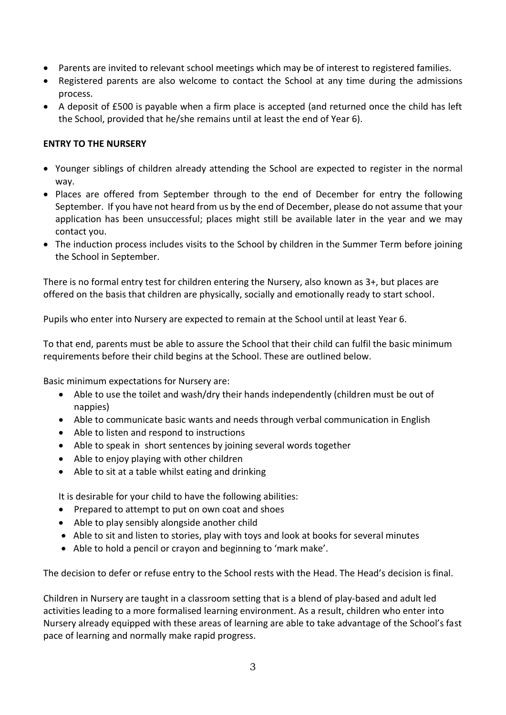- Parents are invited to relevant school meetings which may be of interest to registered families.
- Registered parents are also welcome to contact the School at any time during the admissions process.
- A deposit of £500 is payable when a firm place is accepted (and returned once the child has left the School, provided that he/she remains until at least the end of Year 6).

# **ENTRY TO THE NURSERY**

- Younger siblings of children already attending the School are expected to register in the normal way.
- Places are offered from September through to the end of December for entry the following September. If you have not heard from us by the end of December, please do not assume that your application has been unsuccessful; places might still be available later in the year and we may contact you.
- The induction process includes visits to the School by children in the Summer Term before joining the School in September.

There is no formal entry test for children entering the Nursery, also known as 3+, but places are offered on the basis that children are physically, socially and emotionally ready to start school.

Pupils who enter into Nursery are expected to remain at the School until at least Year 6.

To that end, parents must be able to assure the School that their child can fulfil the basic minimum requirements before their child begins at the School. These are outlined below.

Basic minimum expectations for Nursery are:

- Able to use the toilet and wash/dry their hands independently (children must be out of nappies)
- Able to communicate basic wants and needs through verbal communication in English
- Able to listen and respond to instructions
- Able to speak in short sentences by joining several words together
- Able to enjoy playing with other children
- Able to sit at a table whilst eating and drinking

It is desirable for your child to have the following abilities:

- Prepared to attempt to put on own coat and shoes
- Able to play sensibly alongside another child
- Able to sit and listen to stories, play with toys and look at books for several minutes
- Able to hold a pencil or crayon and beginning to 'mark make'.

The decision to defer or refuse entry to the School rests with the Head. The Head's decision is final.

Children in Nursery are taught in a classroom setting that is a blend of play-based and adult led activities leading to a more formalised learning environment. As a result, children who enter into Nursery already equipped with these areas of learning are able to take advantage of the School's fast pace of learning and normally make rapid progress.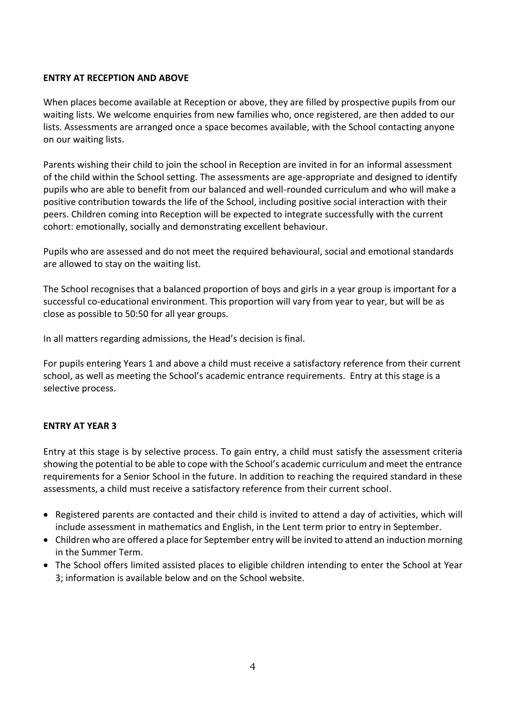## **ENTRY AT RECEPTION AND ABOVE**

When places become available at Reception or above, they are filled by prospective pupils from our waiting lists. We welcome enquiries from new families who, once registered, are then added to our lists. Assessments are arranged once a space becomes available, with the School contacting anyone on our waiting lists.

Parents wishing their child to join the school in Reception are invited in for an informal assessment of the child within the School setting. The assessments are age-appropriate and designed to identify pupils who are able to benefit from our balanced and well-rounded curriculum and who will make a positive contribution towards the life of the School, including positive social interaction with their peers. Children coming into Reception will be expected to integrate successfully with the current cohort: emotionally, socially and demonstrating excellent behaviour.

Pupils who are assessed and do not meet the required behavioural, social and emotional standards are allowed to stay on the waiting list.

The School recognises that a balanced proportion of boys and girls in a year group is important for a successful co-educational environment. This proportion will vary from year to year, but will be as close as possible to 50:50 for all year groups.

In all matters regarding admissions, the Head's decision is final.

For pupils entering Years 1 and above a child must receive a satisfactory reference from their current school, as well as meeting the School's academic entrance requirements. Entry at this stage is a selective process.

# **ENTRY AT YEAR 3**

Entry at this stage is by selective process. To gain entry, a child must satisfy the assessment criteria showing the potential to be able to cope with the School's academic curriculum and meet the entrance requirements for a Senior School in the future. In addition to reaching the required standard in these assessments, a child must receive a satisfactory reference from their current school.

- Registered parents are contacted and their child is invited to attend a day of activities, which will include assessment in mathematics and English, in the Lent term prior to entry in September.
- Children who are offered a place for September entry will be invited to attend an induction morning in the Summer Term.
- The School offers limited assisted places to eligible children intending to enter the School at Year 3; information is available below and on the School website.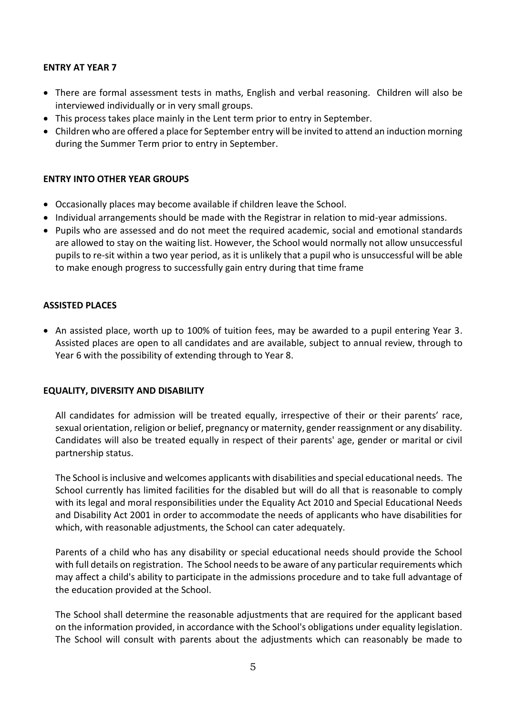## **ENTRY AT YEAR 7**

- There are formal assessment tests in maths, English and verbal reasoning. Children will also be interviewed individually or in very small groups.
- This process takes place mainly in the Lent term prior to entry in September.
- Children who are offered a place for September entry will be invited to attend an induction morning during the Summer Term prior to entry in September.

## **ENTRY INTO OTHER YEAR GROUPS**

- Occasionally places may become available if children leave the School.
- Individual arrangements should be made with the Registrar in relation to mid-year admissions.
- Pupils who are assessed and do not meet the required academic, social and emotional standards are allowed to stay on the waiting list. However, the School would normally not allow unsuccessful pupils to re-sit within a two year period, as it is unlikely that a pupil who is unsuccessful will be able to make enough progress to successfully gain entry during that time frame

## **ASSISTED PLACES**

• An assisted place, worth up to 100% of tuition fees, may be awarded to a pupil entering Year 3. Assisted places are open to all candidates and are available, subject to annual review, through to Year 6 with the possibility of extending through to Year 8.

### **EQUALITY, DIVERSITY AND DISABILITY**

All candidates for admission will be treated equally, irrespective of their or their parents' race, sexual orientation, religion or belief, pregnancy or maternity, gender reassignment or any disability. Candidates will also be treated equally in respect of their parents' age, gender or marital or civil partnership status.

The School is inclusive and welcomes applicants with disabilities and special educational needs. The School currently has limited facilities for the disabled but will do all that is reasonable to comply with its legal and moral responsibilities under the Equality Act 2010 and Special Educational Needs and Disability Act 2001 in order to accommodate the needs of applicants who have disabilities for which, with reasonable adjustments, the School can cater adequately.

Parents of a child who has any disability or special educational needs should provide the School with full details on registration. The School needs to be aware of any particular requirements which may affect a child's ability to participate in the admissions procedure and to take full advantage of the education provided at the School.

The School shall determine the reasonable adjustments that are required for the applicant based on the information provided, in accordance with the School's obligations under equality legislation. The School will consult with parents about the adjustments which can reasonably be made to